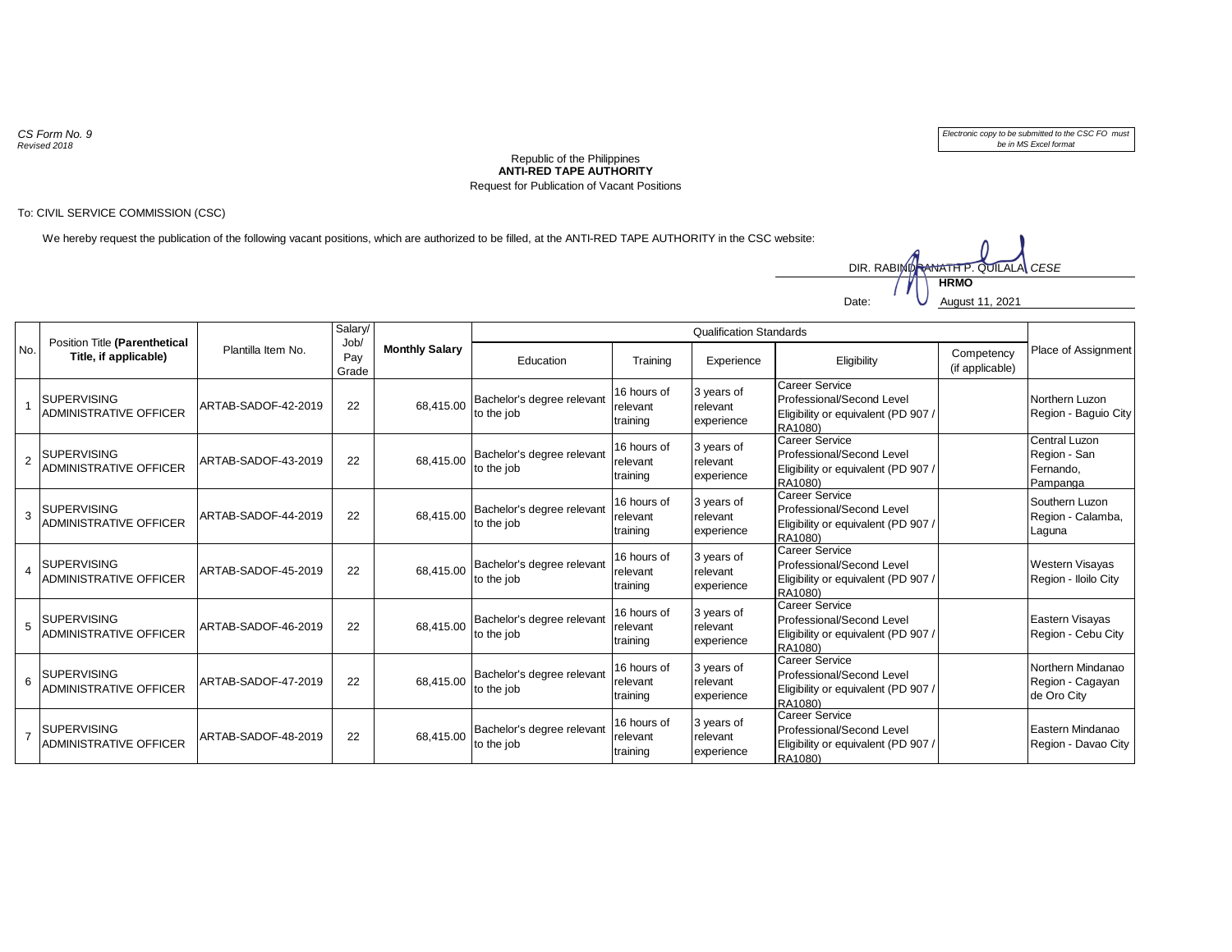*CS Form No. 9 Revised 2018*

*Electronic copy to be submitted to the CSC FO must be in MS Excel format*

## **ANTI-RED TAPE AUTHORITY** Republic of the Philippines Request for Publication of Vacant Positions

## To: CIVIL SERVICE COMMISSION (CSC)

We hereby request the publication of the following vacant positions, which are authorized to be filled, at the ANTI-RED TAPE AUTHORITY in the CSC website:



| No.                     | Position Title (Parenthetical<br>Title, if applicable) | Plantilla Item No.  | Salary/<br>Job/<br>Pay<br>Grade | <b>Monthly Salary</b> | <b>Qualification Standards</b>           |                                     |                                      |                                                                                                      |                               |                                                        |
|-------------------------|--------------------------------------------------------|---------------------|---------------------------------|-----------------------|------------------------------------------|-------------------------------------|--------------------------------------|------------------------------------------------------------------------------------------------------|-------------------------------|--------------------------------------------------------|
|                         |                                                        |                     |                                 |                       | Education                                | Training                            | Experience                           | Eligibility                                                                                          | Competency<br>(if applicable) | Place of Assignment                                    |
|                         | <b>SUPERVISING</b><br><b>ADMINISTRATIVE OFFICER</b>    | ARTAB-SADOF-42-2019 | 22                              | 68.415.00             | Bachelor's degree relevant<br>to the job | 16 hours of<br>relevant<br>training | 3 years of<br>relevant<br>experience | Career Service<br>Professional/Second Level<br>Eligibility or equivalent (PD 907 /<br>RA1080)        |                               | Northern Luzon<br>Region - Baguio City                 |
| $\overline{2}$          | <b>SUPERVISING</b><br><b>ADMINISTRATIVE OFFICER</b>    | ARTAB-SADOF-43-2019 | 22                              | 68,415.00             | Bachelor's degree relevant<br>to the job | 16 hours of<br>relevant<br>training | 3 years of<br>relevant<br>experience | <b>Career Service</b><br>Professional/Second Level<br>Eligibility or equivalent (PD 907 /<br>RA1080) |                               | Central Luzon<br>Region - San<br>Fernando,<br>Pampanga |
| 3                       | <b>SUPERVISING</b><br><b>ADMINISTRATIVE OFFICER</b>    | ARTAB-SADOF-44-2019 | 22                              | 68,415.00             | Bachelor's degree relevant<br>to the job | 16 hours of<br>relevant<br>training | 3 years of<br>relevant<br>experience | <b>Career Service</b><br>Professional/Second Level<br>Eligibility or equivalent (PD 907 /<br>RA1080) |                               | Southern Luzon<br>Region - Calamba,<br>Laguna          |
| $\overline{\mathbf{4}}$ | <b>SUPERVISING</b><br><b>ADMINISTRATIVE OFFICER</b>    | ARTAB-SADOF-45-2019 | 22                              | 68.415.00             | Bachelor's degree relevant<br>to the job | 16 hours of<br>relevant<br>training | 3 years of<br>relevant<br>experience | Career Service<br>Professional/Second Level<br>Eligibility or equivalent (PD 907 /<br>RA1080)        |                               | Western Visayas<br>Region - Iloilo City                |
| 5                       | <b>SUPERVISING</b><br><b>ADMINISTRATIVE OFFICER</b>    | ARTAB-SADOF-46-2019 | 22                              | 68.415.00             | Bachelor's degree relevant<br>to the job | 16 hours of<br>relevant<br>training | 3 years of<br>relevant<br>experience | <b>Career Service</b><br>Professional/Second Level<br>Eligibility or equivalent (PD 907 /<br>RA1080) |                               | Eastern Visayas<br>Region - Cebu City                  |
| 6                       | <b>SUPERVISING</b><br><b>ADMINISTRATIVE OFFICER</b>    | ARTAB-SADOF-47-2019 | 22                              | 68,415.00             | Bachelor's degree relevant<br>to the job | 16 hours of<br>relevant<br>training | 3 years of<br>relevant<br>experience | Career Service<br>Professional/Second Level<br>Eligibility or equivalent (PD 907 /<br>RA1080)        |                               | Northern Mindanao<br>Region - Cagayan<br>de Oro City   |
| $\overline{7}$          | <b>SUPERVISING</b><br><b>ADMINISTRATIVE OFFICER</b>    | ARTAB-SADOF-48-2019 | 22                              | 68.415.00             | Bachelor's degree relevant<br>to the job | 16 hours of<br>relevant<br>training | 3 years of<br>relevant<br>experience | <b>Career Service</b><br>Professional/Second Level<br>Eligibility or equivalent (PD 907 /<br>RA1080) |                               | Eastern Mindanao<br>Region - Davao City                |